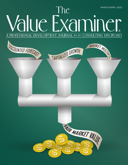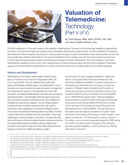

# Valuation of Telemedicine: **Technology** (Part V of V)

*By Todd Zigrang, MBA, MHA, FACHE, CVA, ASA, and Jessica Bailey-Wheaton, Esq.*

This fifth installment in a five-part series on the valuation of telemedicine<sup>1</sup> focuses on the technology available to telemedicine providers, how that technology has evolved, and its anticipated development going forward. The first installment<sup>2</sup> introduced telemedicine and its increasing importance to, and popularity among, providers and patients. It also discussed the current and future challenges related to telemedicine. The second installment<sup>3</sup> took a deeper dive into the reimbursement environment in which telemedicine providers operate, both before and during the COVID-19 pandemic; the third installment<sup>4</sup> examined telemedicine's regulatory environment, with a specific focus on fraud and abuse laws; and the fourth installment<sup>5</sup> discussed supply and demand related to telemedicine, as well as how telemedicine may change healthcare competition generally.

### History and Development

Telemedicine in the modern sense began nearly 60 years ago, but remained out of reach for the general public until much more recently. The U.S. National Aeronautics and Space Administration (NASA) began using telemedicine out of necessity as a way to treat and conduct symptom management for its astronauts in space.<sup>6</sup> In the decades since this initial innovation, the uptake of telemedicine has been slow among the general population. Technological, financial, legal, and human resource barriers have all contributed to this slow adoption by providers and demand by patients.<sup>7</sup> Some of these barriersincluding the lack of proper reimbursement, high upfront investment costs, geographic and provider limitations set by the Centers for Medicare & Medicaid Services (CMS), and other medical information protection and security issues—have been addressed in previous articles in this series. Consequently, this article will focus on the technological barriers and advancements that slowed telemedicine's adoption rates by patients and providers in the past but have now thrust telemedicine into the foreground of the U.S. healthcare delivery system.

Over the past 15 years, targeted legislation, healthcare reform, and government funds have intersected with widening broadband availability; increased investment in developing new telemedicine technology, including the evolution of Mobile Health (mHealth); and the ability of various technologies to become sufficiently secure so as to satisfy Health Insurance Portability and Accountability Act of 1996 (HIPAA) requirements.<sup>8</sup> National legislation advancements include the Health Information Technology for Economic and Clinical Health (HITECH) Act of 2009, which was part of the broader American Recovery and Reinvestment Act of 2009 (ARRA). Through these acts, \$32 billion was allocated to subsidies for modern health information technology (HIT) systems, health research, and facility construction.<sup>9</sup> As discussed in previous articles in this series, various recent measures passed by CMS during the COVID-19 public health emergency (PHE) allowed providers greater flexibility in, and incentives for, offering telemedicine services.<sup>10</sup>

3 Todd Zigrang and Jessica Bailey-Wheaton, "Valuation of Telemedicine: Reimbursement (Part II of V)," *The Value Examiner* (September/October 2021): 30–35.

<sup>1</sup> For the purposes of this series, the terms "telemedicine" and "telehealth" will be considered to be synonymous, with the former used exclusively for the sake of consistency.

<sup>2</sup> Todd Zigrang and Jessica Bailey-Wheaton, "Valuation of Telemedicine: Introduction (Part I of V)," *The Value Examiner* (July/August 2021): 35–39.

<sup>4</sup> Todd Zigrang and Jessica Bailey-Wheaton, "Valuation of Telemedicine: Regulatory (Part III of V)," *The Value Examiner* ( 2021): 28–33.

<sup>5</sup> Todd Zigrang and Jessica Bailey-Wheaton, "Valuation of Telemedicine: Competition (Part IV of V)," *The Value Examiner* (January/February 2022): 35–39.

<sup>6</sup> Cynthia LeRouge and Monice J. Garfield, "Crossing the Telemedicine Chasm: Have the U.S. Barriers to Widespread Adoption of Telemedicine Been Significantly Reduced?," *International Journal of Environmental Research and Public Health* 10, no. 12 (December 2013): 6472–84.

<sup>7</sup> Ibid.

<sup>8</sup> Ibid.

<sup>9</sup> Ibid.

<sup>10</sup> *See* Todd Zigrang and Jessica Bailey-Wheaton, "Valuation of Telemedicine: Introduction (Part I of V)," *The Value Examiner* (July/August 2021): 35–39.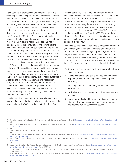Many aspects of telemedicine are dependent on robust technological networks; broadband in particular. When the Federal Communications Commission (FCC) released its National Broadband Plan in 2010, which included the goal of providing every American with "access to broadband capability," approximately one-third of the country—100 million Americans—did not have broadband at home, despite unprecedented growth over the previous decade from 8 million to 200 million Americans with broadband access.11 The plan focused on several areas of broadband improvements related to healthcare: electronic health records (EHRs), video consultation, and remote patient monitoring.12 First, hosted EHRs, where one computer acts as a server for the patient record system database, require internal IT expertise and broadband availability, but cost less and provide tools to patients more quickly than traditional solutions.<sup>13</sup> Cloud-based EHR systems similarly require a strong and consistent internet connection for access to files.14 Second, video consultations, with store-and-forward technology (discussed below), could lead to cost savings and increased access to care, especially to specialists.15 Finally, remote patient monitoring for symptoms can aid in early detection and, consequently, better health outcomes.<sup>16</sup> According to the American Telemedicine Association (ATA), mobile applications generally fall into "acute care telemedicine," where clinicians diagnose and treat ill patients, and "chronic disease management telemedicine," where chronically sick patients are regularly monitored and managed for symptoms.<sup>17</sup>

In order to further the nation's technological networks, a number of recent legislative acts have allocated funds to the cause. In 2019, the FCC established a \$20.4 billion Rural

Digital Opportunity Fund to provide greater broadband access to currently underserved areas.18 The FCC set aside \$61.8 million of that total to expand rural broadband as a part of Phase II of the Connecting America national plan, which will allocate nearly \$1.5 billion in total to expanding broadband access to over 700,000 homes and small businesses over the next decade.19 The 2020 Coronavirus Aid, Relief, and Economic Security (CARES) Act similarly allocated \$500 million to increase broadband access for rural communities to help support telemedicine, distance learning, and social distancing.20

Technologies such as mHealth, mobile sensors and monitors (e.g., heart rhythms, vital sign indicators, and motion and fall detectors for older adults living independently), telemedicine kits, biosensor recliners, and remote medicine robots, all represent great potential in expanding remote patient care.<sup>21</sup> Similarly to the FCC, the ATA, in a 2006 report, identified five types of services that can be delivered through telehealth:

- 1. Specialist referral services involving a specialist visit using video technology
- 2. Direct patient care using audio or video technology for diagnosis, treatment, prescriptions, advice, or patient monitoring
- 3. Remote patient monitoring using devices that collect medical data
- 4. Medical education and mentoring for health professionals and seminars
- 5. Consumer medical and health information, or using the internet to find health information, discussion groups, and peer support for specialized issues<sup>22</sup>

11 *Connecting America: The National Broadband Plan* (Washington, D.C.: Federal Communications Commission, 2010), xi, <https://transition.fcc.gov/national-broadband-plan/national-broadband-plan.pdf>. 12 Ibid., 201.

- 15 "Connecting America: The National Broadband Plan," 201.
- 16 Ibid.

<sup>13</sup> Ibid.; "Hosted vs. Cloud-Based EMR Systems: What's the Difference?," *PracticePerfect* (blog), March 15, 2019, [https://practiceperfectemr.com/blog/hosted-vs-cloud-based-emr-systems](https://practiceperfectemr.com/blog/hosted-vs-cloud-based-emr-systems-whats-the-difference/)[whats-the-difference/](https://practiceperfectemr.com/blog/hosted-vs-cloud-based-emr-systems-whats-the-difference/).

<sup>14</sup> Ibid.

<sup>17</sup> Yulun Wang, "Innovation in Telemedicine Technology: An Entrepreneur's Perspective," *Healthcare IT News,* May 6, 2013, [https://www.healthcareitnews.com/news/innovation-telemedicine](https://www.healthcareitnews.com/news/innovation-telemedicine-technology-entrepreneurs-perspective)[technology-entrepreneurs-perspective.](https://www.healthcareitnews.com/news/innovation-telemedicine-technology-entrepreneurs-perspective)

<sup>18</sup> Federal Communications Commission, "FCC Authorizes Over \$61.8 Million in Funding for Rural Broadband," news release, October 10, 2019, [https://docs.fcc.gov/public/attachments/DOC-](https://docs.fcc.gov/public/attachments/DOC-360165A1.pdf)[360165A1.pdf](https://docs.fcc.gov/public/attachments/DOC-360165A1.pdf).

<sup>19</sup> Ibid.

<sup>20</sup> American Farm Bureau Federation, "Keeping Rural Communities Connected while Socially Distanced," *Market Intel* (blog), August 10, 2020, [https://www.fb.org/market-intel/keeping-rural](https://www.fb.org/market-intel/keeping-rural-communities-connected-while-socially-distanced)[communities-connected-while-socially-distanced.](https://www.fb.org/market-intel/keeping-rural-communities-connected-while-socially-distanced) (Accessed 6/7/21).

<sup>21</sup> "Connecting America: The National Broadband Plan," 201–202; "Crossing the Telemedicine Chasm: Have the U.S. Barriers to Widespread Adoption of Telemedicine Been Significantly Reduced?"

<sup>22</sup> The American Telemedicine Association, "Telemedicine, Telehealth, and Health Information Technology" (white paper, May 2006), 3, [https://pdf4pro.com/download/telemedicine-telehealth](https://pdf4pro.com/download/telemedicine-telehealth-and-health-information-technology-3fb1d8.html)[and-health-information-technology-3fb1d8.html.](https://pdf4pro.com/download/telemedicine-telehealth-and-health-information-technology-3fb1d8.html)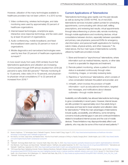However, utilization of the many technologies available to healthcare providers has not been uniform. In a 2013 survey:

- 1. Video conferencing, wireless technologies, and data monitoring were used by approximately 50 percent of healthcare organizations.
- 2. Internet-based technologies, smartphone apps, interactive voice response technology, and fax were used by at least 33 percent of organizations.
- 3. Audio conferencing, mobile broadband, and fixedline broadband were used by 25 percent or more of organizations.
- 4. Mobile diagnostics and narrowband technologies were used by less than 20 percent of healthcare organizations surveyed.<sup>23</sup>

A more recent study from early 2020 similarly found that telemedicine applications and utilization are increasing. Communication through EHR almost doubled from 2018 (38 percent) to early 2020 (63 percent).<sup>24</sup> Remote monitoring (6 to 13 percent), video visits (14 to 19 percent), and physicianto-physician virtual consultations (17 to 22 percent) all increased from 2018.25



### Current Applications of Telemedicine

Telemedicine technology grew rapidly over the past decade as well as during the COVID-19 PHE. As of mid-2020, telemedicine services included: patient portals for scheduling appointments, communicating with clinical staff, refilling prescriptions, and reviewing test results; virtual appointments through teleconferencing or phone calls; remote monitoring through mobile applications and monitoring devices; virtual consultations between doctors, especially between specialists and primary care physicians; personal EHRs for emergency vital information; and personal health applications for tracking caloric intake, physical activity, and other measures.<sup>26</sup> As noted above, the four main types of telemedicine currently utilized by healthcare providers include:

- 1. Store-and-forward or "asynchronous" telemedicine, where information such as medical histories, reports, or other data is sent to a specialist for diagnosis and treatment;
- 2. Remote patient monitoring, where a patient's clinical status is evaluated continuously through video monitoring, images, or remotely reviewing tests;
- 3. Real-time or "synchronous" telemedicine, which consists of a live conversation between the patient and provider; and
- 4. mHealth, which involves the provision of health information—such as educational information, targeted text messages, and notifications about disease outbreaks—through mobile devices.<sup>27</sup>

Availability and affordability has allowed telemedicine technology to grow considerably in recent years. However, internet issues are still a problem for approximately one in five adults living in rural areas and have led to lower adoption and utilization rates for telemedicine.<sup>28</sup> While the main advantages of telemedicine include quality, accessibility, and efficiency, some remaining concerns include potential gaps in care and continued limitations related to broadband internet access and the cost of mobile devices. These limitations may disproportionately affect rural patients, who may also be some of the most at-need patients.<sup>29</sup>

26 "Telehealth: Technology Meets Health Care," Consumer Health, Mayo Clinic, May 15, 2020,<https://www.mayoclinic.org/healthy-lifestyle/consumer-health/in-depth/telehealth/art-20044878>.

29 "Telehealth: Technology meets health care."

<sup>23</sup> Becker's Healthcare, "12 Technologies Used in Telehealth Programs," *Becker's Health IT* (blog), August 15, 2013, [https://www.beckershospitalreview.com/healthcare-information](https://www.beckershospitalreview.com/healthcare-information-technology/12-technologies-used-in-telehealth-programs.html)[technology/12-technologies-used-in-telehealth-programs.html.](https://www.beckershospitalreview.com/healthcare-information-technology/12-technologies-used-in-telehealth-programs.html)

<sup>24</sup> Ken Abrams, Urvi Shah, Casey Korba, and Natasha Elsner, "How the Virtual Health Landscape is Shifting in a Rapidly Changing World," *Deloitte Insights,* July 9, 2020, [https://www2.deloitte.](https://www2.deloitte.com/us/en/insights/industry/health-care/physician-survey.html) [com/us/en/insights/industry/health-care/physician-survey.html](https://www2.deloitte.com/us/en/insights/industry/health-care/physician-survey.html).

<sup>25</sup> Ibid.

<sup>27</sup> Oren Mechanic, Yudy Persaud, and Alexa Kimball, "Telehealth Systems," StatPearls, last updated September 18, 2021,<https://www.ncbi.nlm.nih.gov/books/NBK459384/>; "Telemedicine and Telehealth," [HealthIT.gov](http://HealthIT.gov), September 24, 2020,<https://www.healthit.gov/topic/health-it-health-care-settings/telemedicine-and-telehealth>.

<sup>28 &</sup>quot;HHS Issues New Report Highlighting Dramatic Trends in Medicare Beneficiary Telehealth Utilization amid COVID-19," Department of Health & Human Services, July 28, 2020, [https://www.](https://www.hhs.gov/about/news/2020/07/28/hhs-issues-new-report-highlighting-dramatic-trends-in-medicare-beneficiary-telehealth-utilization-amid-covid-19.html) [hhs.gov/about/news/2020/07/28/hhs-issues-new-report-highlighting-dramatic-trends-in-medicare-beneficiary-telehealth-utilization-amid-covid-19.html](https://www.hhs.gov/about/news/2020/07/28/hhs-issues-new-report-highlighting-dramatic-trends-in-medicare-beneficiary-telehealth-utilization-amid-covid-19.html); Harvard T.H. Chan School of Public Health, Life in Rural America: Part II (Washington, D.C.: National Public Radio, May 2019), 10, [https://media.npr.org/documents/2019/may/NPR-RWJF-HARVARD\\_Rural\\_Poll\\_Part\\_2.pdf](https://media.npr.org/documents/2019/may/NPR-RWJF-HARVARD_Rural_Poll_Part_2.pdf).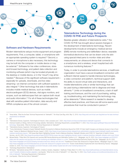Ф

## Software and Hardware Requirements

Modern telemedicine setups involve equipment and program requirements. First, a computer, tablet, or smartphone with an appropriate operating system is required.<sup>30</sup> Second, a camera or microphone is also necessary; this technology may be built into the computer or mobile device or may be external.<sup>31</sup> Software for live video conferences, storeand-forward technology, and patient data collection and monitoring software (which may be located physically on the desktop or mobile device, or in the "cloud") may all be needed.32 Because of this significant software requirement especially for uploads, downloads, and live video streaming—an internet connection with sufficient speeds is also integral.33 Other technology that aids in telemedicine includes mobile medical devices, such as mobile electrocardiogram (ECG) devices, vital signs monitors, and scopes, such as stethoscopes that can capture both visual and audio information.<sup>34</sup> For all of these technologies that deal with sensitive patient information, data security and HIPAA compliance are of the utmost concern.

#### Telemedicine Technology during the COVID-19 PHE and Future Prospects

Besides greater utilization of telemedicine visits,<sup>35</sup> the COVID-19 PHE has brought about several changes in the development of telemedicine technology. Recent developments include an emergency medical service (EMS) remote monitoring and defibrillator device; wearable biomedical electronics that can be drawn onto the skin using special inked pens to monitor vitals and other measurements; an ultrasound device that connects to a smartphone; and a wireless, smart hospital bed with numerous monitoring features.36

<u>ଚ</u>⊺

Today, in order to provide telemedicine services, a healthcare organization must have a secure broadband connection with sufficient internet speed to handle intensive technologies, a video connection and platform, technical support staff, the ability to record virtual visits and interactions, and mobile telemedicine units or similar technology that can be used during a telemedicine visit to diagnose and treat ailments.37 Limits on broadband connections, a lack of staff training and licensure, and the cost of purchasing, setting up, troubleshooting, and maintaining this technology may all be deterrents.38 More research is needed to develop effective best practices, and there are still some exams and procedures that must be conducted in person.39

30 Teresa Iafolla, "What Are the Basic Technical Requirements for Telehealth?," *The Virtual Care Blog,* eVisit, May 12, 2016, [https://blog.evisit.com/virtual-care-blog/what-are-the-basic-technical](https://blog.evisit.com/virtual-care-blog/what-are-the-basic-technical-requirements-for-telehealth)[requirements-for-telehealth.](https://blog.evisit.com/virtual-care-blog/what-are-the-basic-technical-requirements-for-telehealth)

31 Ibid.

32 "Telemedicine Devices, Equipment, Technologies & Products," eVisit, accessed June 7, 2021,<https://evisit.com/resources/telemedicine-telehealth-equipment/>.

JF

33 American Academy of Allergy, Asthma & Immunology (website), Telemedicine, Technology Requirements, accessed March 11, 2022, [https://www.aaaai.org/Allergist-Resources/Telemedicine/](https://www.aaaai.org/Allergist-Resources/Telemedicine/technology) [technology;](https://www.aaaai.org/Allergist-Resources/Telemedicine/technology) Teresa Iafolla, "What Are the Basic Technical Requirements for Telehealth?"

34 "Telemedicine Devices, Equipment, Technologies & Products."

35 "Trump Administration Proposes to Expand Telehealth Benefits Permanently for Medicare Beneficiaries Beyond the COVID-19 Public Health Emergency and Advances Access to Care in Rural Areas," Centers for Medicare & Medicaid Services, August 3, 2020, [https://www.cms.gov/newsroom/press-releases/trump-administration-proposes-expand-telehealth-benefits-permanently](https://www.cms.gov/newsroom/press-releases/trump-administration-proposes-expand-telehealth-benefits-permanently-medicare-beneficiaries-beyond)[medicare-beneficiaries-beyond.](https://www.cms.gov/newsroom/press-releases/trump-administration-proposes-expand-telehealth-benefits-permanently-medicare-beneficiaries-beyond); "HHS Issues New Report Highlighting Dramatic Trends in Medicare Beneficiary Telehealth Utilization amid COVID-19," Department of Health & Human Services, July 28, 2020, [https://www.hhs.gov/about/news/2020/07/28/hhs-issues-new-report-highlighting-dramatic-trends-in-medicare-beneficiary-telehealth-utilization-amid-covid-19.html.](https://www.hhs.gov/about/news/2020/07/28/hhs-issues-new-report-highlighting-dramatic-trends-in-medicare-beneficiary-telehealth-utilization-amid-covid-19.html)

36 Michael Batista, "Philips Wins FDA Clearance and Launches EMS Remote Monitoring and Defibrillation Solution in U.S.," *Medgadget,* July 30, 2020, [https://www.medgadget.com/2020/07/](https://www.medgadget.com/2020/07/philips-wins-fda-clearance-and-launches-ems-remote-monitoring-and-defibrillator-solution-in-u-s.html) [philips-wins-fda-clearance-and-launches-ems-remote-monitoring-and-defibrillator-solution-in-u-s.html;](https://www.medgadget.com/2020/07/philips-wins-fda-clearance-and-launches-ems-remote-monitoring-and-defibrillator-solution-in-u-s.html) "Drawing Biomedical Electronics Directly Onto Skin," *Medgadget,* July 30, 2020, [https://www.medgadget.com/2020/07/drawing-biomedical-electronics-directly-onto-skin.html;](https://www.medgadget.com/2020/07/drawing-biomedical-electronics-directly-onto-skin.html) "PulseNmore At-Home Tele-Ultrasound for Pregnant Women," *Medgadget,* August 10, 2020, [https://www.medgadget.com/2020/08/pulsenmore-at-home-tele-ultrasound-for-pregnant-women.html;](https://www.medgadget.com/2020/08/pulsenmore-at-home-tele-ultrasound-for-pregnant-women.html) "Stryker Unveils Wireless Hospital Bed with Smart Monitoring Features," *Medgadget,* October 22, 2020,<https://www.medgadget.com/2020/10/stryker-unveils-wireless-hospital-bed-with-smart-monitoring-features.html>.

37 "Technology Requirements in Telemedicine."

38 Bill Siwicki, "Telemedicine during COVID-19: Benefits, Limitations, Burdens, Adaptation," *Healthcare IT News,* March 19, 2020, [https://www.healthcareitnews.com/news/telemedicine-during](https://www.healthcareitnews.com/news/telemedicine-during-covid-19-benefits-limitations-burdens-adaptation)[covid-19-benefits-limitations-burdens-adaptation](https://www.healthcareitnews.com/news/telemedicine-during-covid-19-benefits-limitations-burdens-adaptation); Lisa Esposito, "What Are the Limits of Telehealth?," *U.S. News,* May 13, 2020, [https://health.usnews.com/conditions/articles/what-are-the](https://health.usnews.com/conditions/articles/what-are-the-limits-of-telehealth)[limits-of-telehealth](https://health.usnews.com/conditions/articles/what-are-the-limits-of-telehealth); "Technology Requirements in Telemedicine."

39 Lisa Esposito, "What Are the Limits of Telehealth?"